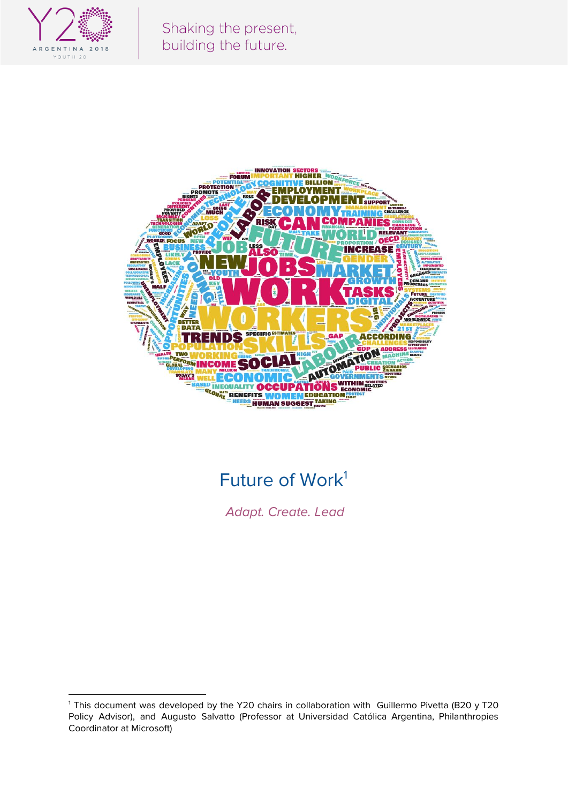



# Future of Work<sup>1</sup>

Adapt. Create. Lead

<sup>&</sup>lt;sup>1</sup> This document was developed by the Y20 chairs in collaboration with Guillermo Pivetta (B20 y T20 Policy Advisor), and Augusto Salvatto (Professor at Universidad Católica Argentina, Philanthropies Coordinator at Microsoft)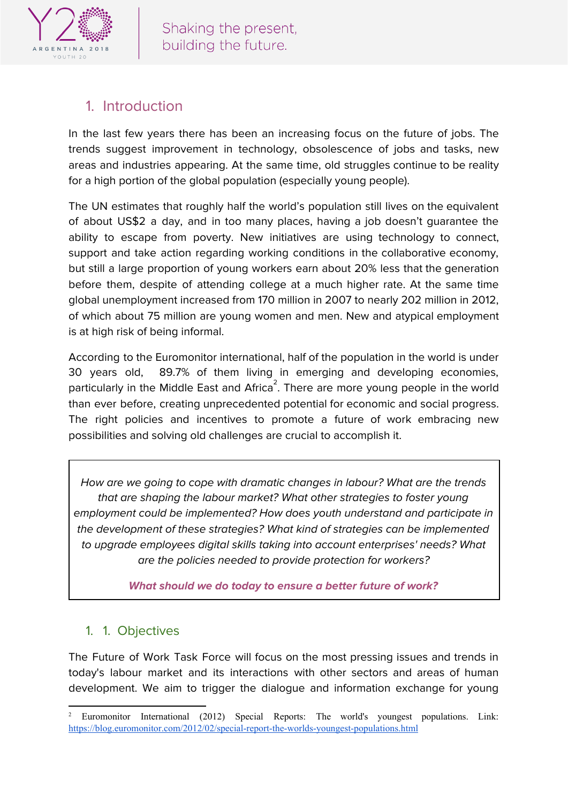

## 1. Introduction

In the last few years there has been an increasing focus on the future of jobs. The trends suggest improvement in technology, obsolescence of jobs and tasks, new areas and industries appearing. At the same time, old struggles continue to be reality for a high portion of the global population (especially young people).

The UN estimates that roughly half the world's population still lives on the equivalent of about US\$2 a day, and in too many places, having a job doesn't guarantee the ability to escape from poverty. New initiatives are using technology to connect, support and take action regarding working conditions in the collaborative economy, but still a large proportion of young workers earn about 20% less that the generation before them, despite of attending college at a much higher rate. At the same time global unemployment increased from 170 million in 2007 to nearly 202 million in 2012, of which about 75 million are young women and men. New and atypical employment is at high risk of being informal.

According to the Euromonitor international, half of the population in the world is under 30 years old, 89.7% of them living in emerging and developing economies, particularly in the Middle East and Africa $^2$ . There are more young people in the world than ever before, creating unprecedented potential for economic and social progress. The right policies and incentives to promote a future of work embracing new possibilities and solving old challenges are crucial to accomplish it.

How are we going to cope with dramatic changes in labour? What are the trends that are shaping the labour market? What other strategies to foster young employment could be implemented? How does youth understand and participate in the development of these strategies? What kind of strategies can be implemented to upgrade employees digital skills taking into account enterprises' needs? What are the policies needed to provide protection for workers?

**What should we do today to ensure a better future of work?**

#### 1. 1. Objectives

The Future of Work Task Force will focus on the most pressing issues and trends in today's labour market and its interactions with other sectors and areas of human development. We aim to trigger the dialogue and information exchange for young

<sup>2</sup> Euromonitor International (2012) Special Reports: The world's youngest populations. Link: <https://blog.euromonitor.com/2012/02/special-report-the-worlds-youngest-populations.html>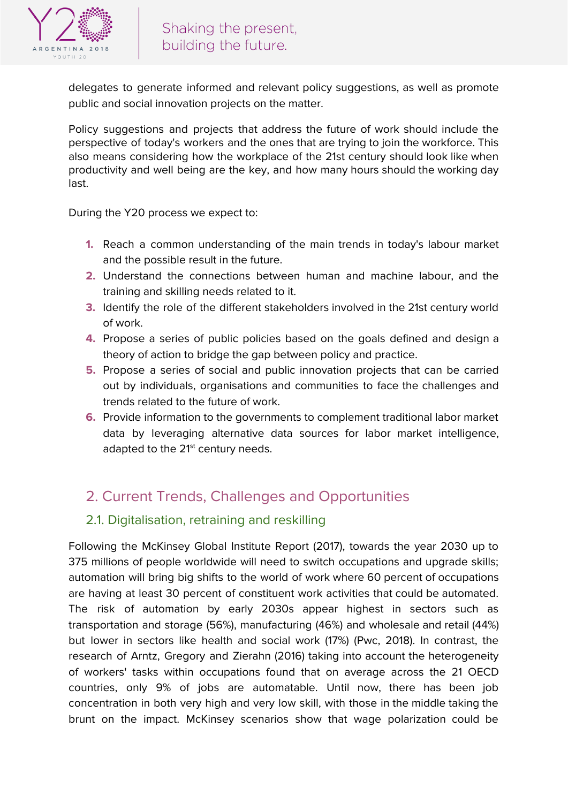

delegates to generate informed and relevant policy suggestions, as well as promote public and social innovation projects on the matter.

Policy suggestions and projects that address the future of work should include the perspective of today's workers and the ones that are trying to join the workforce. This also means considering how the workplace of the 21st century should look like when productivity and well being are the key, and how many hours should the working day last.

During the Y20 process we expect to:

- **1.** Reach a common understanding of the main trends in today's labour market and the possible result in the future.
- **2.** Understand the connections between human and machine labour, and the training and skilling needs related to it.
- **3.** Identify the role of the different stakeholders involved in the 21st century world of work.
- **4.** Propose a series of public policies based on the goals defined and design a theory of action to bridge the gap between policy and practice.
- **5.** Propose a series of social and public innovation projects that can be carried out by individuals, organisations and communities to face the challenges and trends related to the future of work.
- **6.** Provide information to the governments to complement traditional labor market data by leveraging alternative data sources for labor market intelligence, adapted to the 21<sup>st</sup> century needs.

## 2. Current Trends, Challenges and Opportunities

#### 2.1. Digitalisation, retraining and reskilling

Following the McKinsey Global Institute Report (2017), towards the year 2030 up to 375 millions of people worldwide will need to switch occupations and upgrade skills; automation will bring big shifts to the world of work where 60 percent of occupations are having at least 30 percent of constituent work activities that could be automated. The risk of automation by early 2030s appear highest in sectors such as transportation and storage (56%), manufacturing (46%) and wholesale and retail (44%) but lower in sectors like health and social work (17%) (Pwc, 2018). In contrast, the research of Arntz, Gregory and Zierahn (2016) taking into account the heterogeneity of workers' tasks within occupations found that on average across the 21 OECD countries, only 9% of jobs are automatable. Until now, there has been job concentration in both very high and very low skill, with those in the middle taking the brunt on the impact. McKinsey scenarios show that wage polarization could be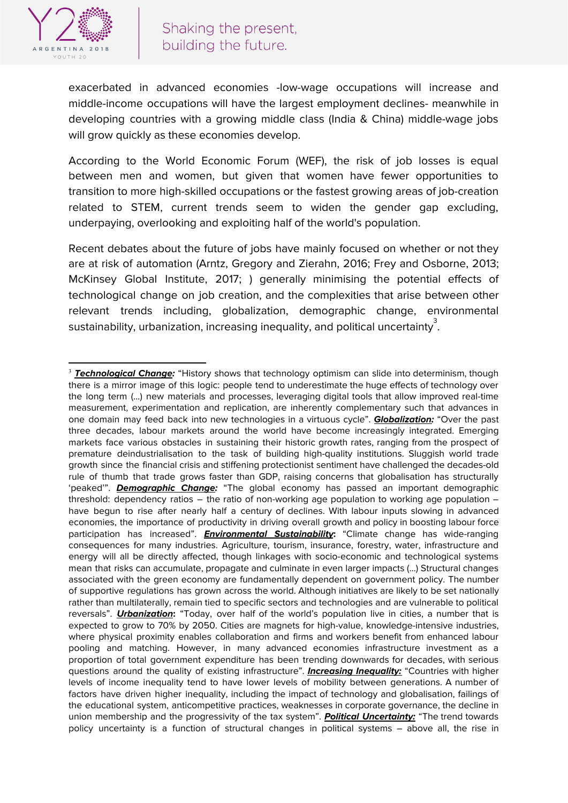

exacerbated in advanced economies -low-wage occupations will increase and middle-income occupations will have the largest employment declines- meanwhile in developing countries with a growing middle class (India & China) middle-wage jobs will grow quickly as these economies develop.

According to the World Economic Forum (WEF), the risk of job losses is equal between men and women, but given that women have fewer opportunities to transition to more high-skilled occupations or the fastest growing areas of job-creation related to STEM, current trends seem to widen the gender gap excluding, underpaying, overlooking and exploiting half of the world's population.

Recent debates about the future of jobs have mainly focused on whether or not they are at risk of automation (Arntz, Gregory and Zierahn, 2016; Frey and Osborne, 2013; McKinsey Global Institute, 2017; ) generally minimising the potential effects of technological change on job creation, and the complexities that arise between other relevant trends including, globalization, demographic change, environmental sustainability, urbanization, increasing inequality, and political uncertainty $^{\rm 3}.$ 

<sup>3</sup> **Technological Change:** "History shows that technology optimism can slide into determinism, though there is a mirror image of this logic: people tend to underestimate the huge effects of technology over the long term (…) new materials and processes, leveraging digital tools that allow improved real-time measurement, experimentation and replication, are inherently complementary such that advances in one domain may feed back into new technologies in a virtuous cycle". **Globalization:** "Over the past three decades, labour markets around the world have become increasingly integrated. Emerging markets face various obstacles in sustaining their historic growth rates, ranging from the prospect of premature deindustrialisation to the task of building high-quality institutions. Sluggish world trade growth since the financial crisis and stiffening protectionist sentiment have challenged the decades-old rule of thumb that trade grows faster than GDP, raising concerns that globalisation has structurally 'peaked'". **Demographic Change:** "The global economy has passed an important demographic threshold: dependency ratios – the ratio of non-working age population to working age population – have begun to rise after nearly half a century of declines. With labour inputs slowing in advanced economies, the importance of productivity in driving overall growth and policy in boosting labour force participation has increased". **Environmental Sustainability:** "Climate change has wide-ranging consequences for many industries. Agriculture, tourism, insurance, forestry, water, infrastructure and energy will all be directly affected, though linkages with socio-economic and technological systems mean that risks can accumulate, propagate and culminate in even larger impacts (…) Structural changes associated with the green economy are fundamentally dependent on government policy. The number of supportive regulations has grown across the world. Although initiatives are likely to be set nationally rather than multilaterally, remain tied to specific sectors and technologies and are vulnerable to political reversals". **Urbanization:** "Today, over half of the world's population live in cities, a number that is expected to grow to 70% by 2050. Cities are magnets for high-value, knowledge-intensive industries, where physical proximity enables collaboration and firms and workers benefit from enhanced labour pooling and matching. However, in many advanced economies infrastructure investment as a proportion of total government expenditure has been trending downwards for decades, with serious questions around the quality of existing infrastructure". **Increasing Inequality:** "Countries with higher levels of income inequality tend to have lower levels of mobility between generations. A number of factors have driven higher inequality, including the impact of technology and globalisation, failings of the educational system, anticompetitive practices, weaknesses in corporate governance, the decline in union membership and the progressivity of the tax system". **Political Uncertainty:** "The trend towards policy uncertainty is a function of structural changes in political systems – above all, the rise in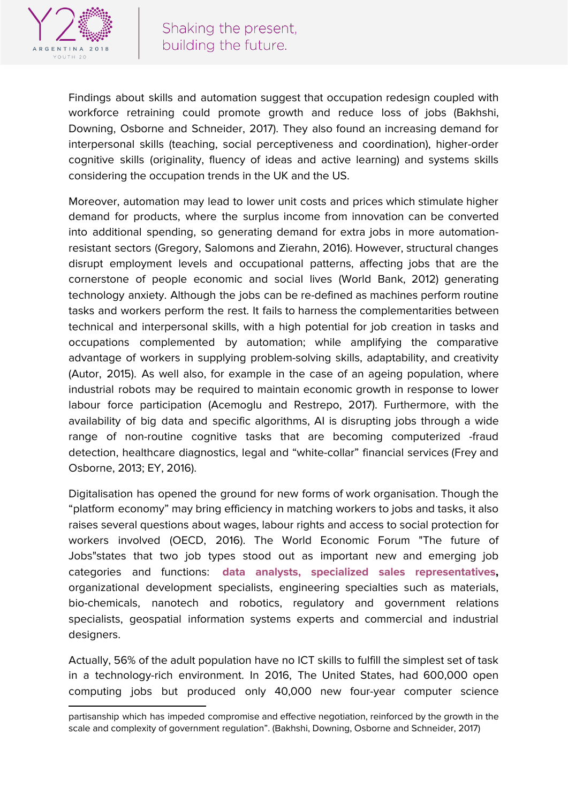

Findings about skills and automation suggest that occupation redesign coupled with workforce retraining could promote growth and reduce loss of jobs (Bakhshi, Downing, Osborne and Schneider, 2017). They also found an increasing demand for interpersonal skills (teaching, social perceptiveness and coordination), higher-order cognitive skills (originality, fluency of ideas and active learning) and systems skills considering the occupation trends in the UK and the US.

Moreover, automation may lead to lower unit costs and prices which stimulate higher demand for products, where the surplus income from innovation can be converted into additional spending, so generating demand for extra jobs in more automationresistant sectors (Gregory, Salomons and Zierahn, 2016). However, structural changes disrupt employment levels and occupational patterns, affecting jobs that are the cornerstone of people economic and social lives (World Bank, 2012) generating technology anxiety. Although the jobs can be re-defined as machines perform routine tasks and workers perform the rest. It fails to harness the complementarities between technical and interpersonal skills, with a high potential for job creation in tasks and occupations complemented by automation; while amplifying the comparative advantage of workers in supplying problem-solving skills, adaptability, and creativity (Autor, 2015). As well also, for example in the case of an ageing population, where industrial robots may be required to maintain economic growth in response to lower labour force participation (Acemoglu and Restrepo, 2017). Furthermore, with the availability of big data and specific algorithms, AI is disrupting jobs through a wide range of non-routine cognitive tasks that are becoming computerized -fraud detection, healthcare diagnostics, legal and "white-collar" financial services (Frey and Osborne, 2013; EY, 2016).

Digitalisation has opened the ground for new forms of work organisation. Though the "platform economy" may bring efficiency in matching workers to jobs and tasks, it also raises several questions about wages, labour rights and access to social protection for workers involved (OECD, 2016). The World Economic Forum "The future of Jobs"states that two job types stood out as important new and emerging job categories and functions: **data analysts, specialized sales representatives,** organizational development specialists, engineering specialties such as materials, bio-chemicals, nanotech and robotics, regulatory and government relations specialists, geospatial information systems experts and commercial and industrial designers.

Actually, 56% of the adult population have no ICT skills to fulfill the simplest set of task in a technology-rich environment. In 2016, The United States, had 600,000 open computing jobs but produced only 40,000 new four-year computer science

partisanship which has impeded compromise and effective negotiation, reinforced by the growth in the scale and complexity of government regulation". (Bakhshi, Downing, Osborne and Schneider, 2017)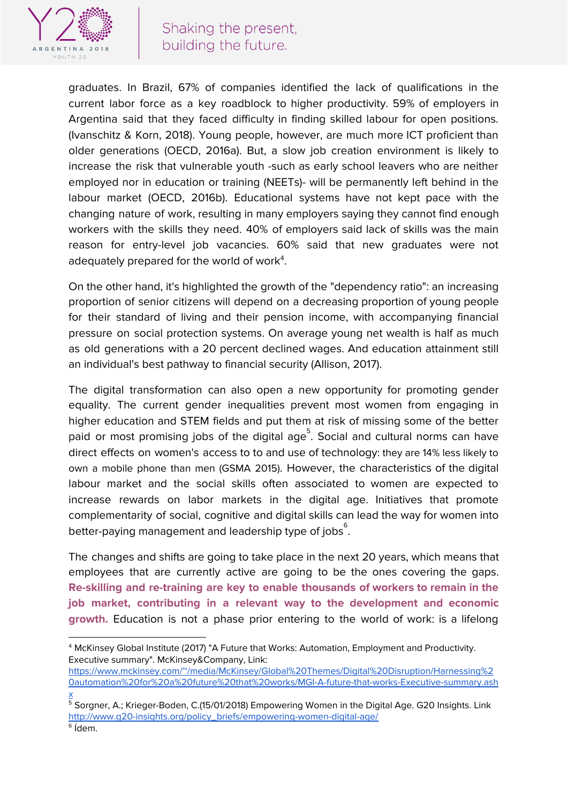

graduates. In Brazil, 67% of companies identified the lack of qualifications in the current labor force as a key roadblock to higher productivity. 59% of employers in Argentina said that they faced difficulty in finding skilled labour for open positions. (Ivanschitz & Korn, 2018). Young people, however, are much more ICT proficient than older generations (OECD, 2016a). But, a slow job creation environment is likely to increase the risk that vulnerable youth -such as early school leavers who are neither employed nor in education or training (NEETs)- will be permanently left behind in the labour market (OECD, 2016b). Educational systems have not kept pace with the changing nature of work, resulting in many employers saying they cannot find enough workers with the skills they need. 40% of employers said lack of skills was the main reason for entry-level job vacancies. 60% said that new graduates were not adequately prepared for the world of work<sup>4</sup>.

On the other hand, it's highlighted the growth of the "dependency ratio": an increasing proportion of senior citizens will depend on a decreasing proportion of young people for their standard of living and their pension income, with accompanying financial pressure on social protection systems. On average young net wealth is half as much as old generations with a 20 percent declined wages. And education attainment still an individual's best pathway to financial security (Allison, 2017).

The digital transformation can also open a new opportunity for promoting gender equality. The current gender inequalities prevent most women from engaging in higher education and STEM fields and put them at risk of missing some of the better paid or most promising jobs of the digital age $^5$ . Social and cultural norms can have direct effects on women's access to to and use of technology: they are 14% less likely to own a mobile phone than men (GSMA 2015). However, the characteristics of the digital labour market and the social skills often associated to women are expected to increase rewards on labor markets in the digital age. Initiatives that promote complementarity of social, cognitive and digital skills can lead the way for women into better-paying management and leadership type of jobs $^\mathrm{6}.$ 

The changes and shifts are going to take place in the next 20 years, which means that employees that are currently active are going to be the ones covering the gaps. **Re-skilling and re-training are key to enable thousands of workers to remain in the job market, contributing in a relevant way to the development and economic growth.** Education is not a phase prior entering to the world of work: is a lifelong

<sup>4</sup> McKinsey Global Institute (2017) "A Future that Works: Automation, Employment and Productivity. Executive summary". McKinsey&Company, Link:

[https://www.mckinsey.com/~/media/McKinsey/Global%20Themes/Digital%20Disruption/Harnessing%2](https://www.mckinsey.com/~/media/McKinsey/Global%20Themes/Digital%20Disruption/Harnessing%20automation%20for%20a%20future%20that%20works/MGI-A-future-that-works-Executive-summary.ashx) [0automation%20for%20a%20future%20that%20works/MGI-A-future-that-works-Executive-summary.ash](https://www.mckinsey.com/~/media/McKinsey/Global%20Themes/Digital%20Disruption/Harnessing%20automation%20for%20a%20future%20that%20works/MGI-A-future-that-works-Executive-summary.ashx) [x](https://www.mckinsey.com/~/media/McKinsey/Global%20Themes/Digital%20Disruption/Harnessing%20automation%20for%20a%20future%20that%20works/MGI-A-future-that-works-Executive-summary.ashx)

<sup>5</sup> Sorgner, A.; Krieger-Boden, C.(15/01/2018) Empowering Women in the Digital Age. G20 Insights. Link [http://www.g20-insights.org/policy\\_briefs/empowering-women-digital-age/](http://www.g20-insights.org/policy_briefs/empowering-women-digital-age/) 6 Ídem.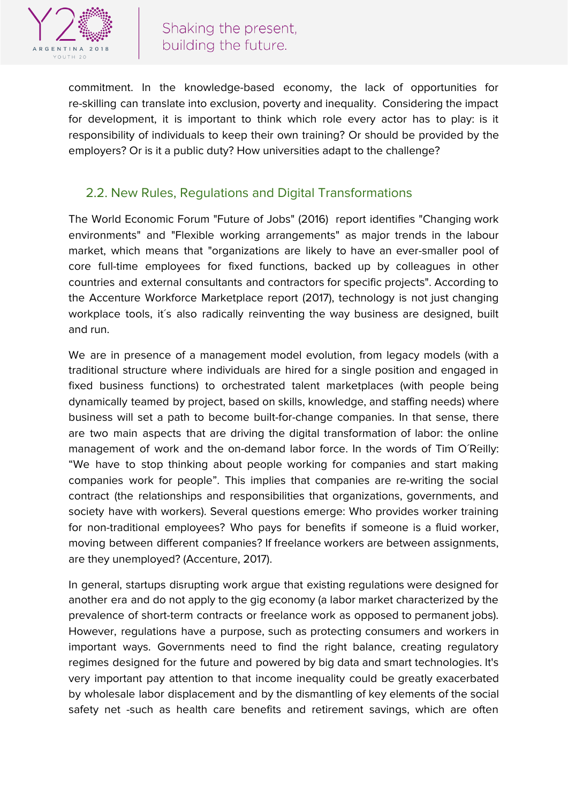

commitment. In the knowledge-based economy, the lack of opportunities for re-skilling can translate into exclusion, poverty and inequality. Considering the impact for development, it is important to think which role every actor has to play: is it responsibility of individuals to keep their own training? Or should be provided by the employers? Or is it a public duty? How universities adapt to the challenge?

#### 2.2. New Rules, Regulations and Digital Transformations

The World Economic Forum "Future of Jobs" (2016) report identifies "Changing work environments" and "Flexible working arrangements" as major trends in the labour market, which means that "organizations are likely to have an ever-smaller pool of core full-time employees for fixed functions, backed up by colleagues in other countries and external consultants and contractors for specific projects". According to the Accenture Workforce Marketplace report (2017), technology is not just changing workplace tools, it's also radically reinventing the way business are designed, built and run.

We are in presence of a management model evolution, from legacy models (with a traditional structure where individuals are hired for a single position and engaged in fixed business functions) to orchestrated talent marketplaces (with people being dynamically teamed by project, based on skills, knowledge, and staffing needs) where business will set a path to become built-for-change companies. In that sense, there are two main aspects that are driving the digital transformation of labor: the online management of work and the on-demand labor force. In the words of Tim O´Reilly: "We have to stop thinking about people working for companies and start making companies work for people". This implies that companies are re-writing the social contract (the relationships and responsibilities that organizations, governments, and society have with workers). Several questions emerge: Who provides worker training for non-traditional employees? Who pays for benefits if someone is a fluid worker, moving between different companies? If freelance workers are between assignments, are they unemployed? (Accenture, 2017).

In general, startups disrupting work argue that existing regulations were designed for another era and do not apply to the gig economy (a labor market characterized by the prevalence of short-term contracts or freelance work as opposed to permanent jobs). However, regulations have a purpose, such as protecting consumers and workers in important ways. Governments need to find the right balance, creating regulatory regimes designed for the future and powered by big data and smart technologies. It's very important pay attention to that income inequality could be greatly exacerbated by wholesale labor displacement and by the dismantling of key elements of the social safety net -such as health care benefits and retirement savings, which are often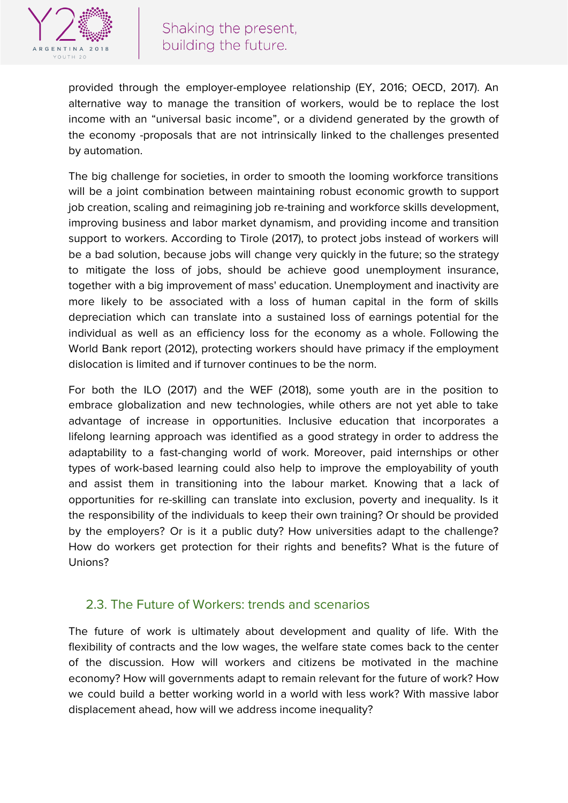

provided through the employer-employee relationship (EY, 2016; OECD, 2017). An alternative way to manage the transition of workers, would be to replace the lost income with an "universal basic income", or a dividend generated by the growth of the economy -proposals that are not intrinsically linked to the challenges presented by automation.

The big challenge for societies, in order to smooth the looming workforce transitions will be a joint combination between maintaining robust economic growth to support job creation, scaling and reimagining job re-training and workforce skills development, improving business and labor market dynamism, and providing income and transition support to workers. According to Tirole (2017), to protect jobs instead of workers will be a bad solution, because jobs will change very quickly in the future; so the strategy to mitigate the loss of jobs, should be achieve good unemployment insurance, together with a big improvement of mass' education. Unemployment and inactivity are more likely to be associated with a loss of human capital in the form of skills depreciation which can translate into a sustained loss of earnings potential for the individual as well as an efficiency loss for the economy as a whole. Following the World Bank report (2012), protecting workers should have primacy if the employment dislocation is limited and if turnover continues to be the norm.

For both the ILO (2017) and the WEF (2018), some youth are in the position to embrace globalization and new technologies, while others are not yet able to take advantage of increase in opportunities. Inclusive education that incorporates a lifelong learning approach was identified as a good strategy in order to address the adaptability to a fast-changing world of work. Moreover, paid internships or other types of work-based learning could also help to improve the employability of youth and assist them in transitioning into the labour market. Knowing that a lack of opportunities for re-skilling can translate into exclusion, poverty and inequality. Is it the responsibility of the individuals to keep their own training? Or should be provided by the employers? Or is it a public duty? How universities adapt to the challenge? How do workers get protection for their rights and benefits? What is the future of Unions?

#### 2.3. The Future of Workers: trends and scenarios

The future of work is ultimately about development and quality of life. With the flexibility of contracts and the low wages, the welfare state comes back to the center of the discussion. How will workers and citizens be motivated in the machine economy? How will governments adapt to remain relevant for the future of work? How we could build a better working world in a world with less work? With massive labor displacement ahead, how will we address income inequality?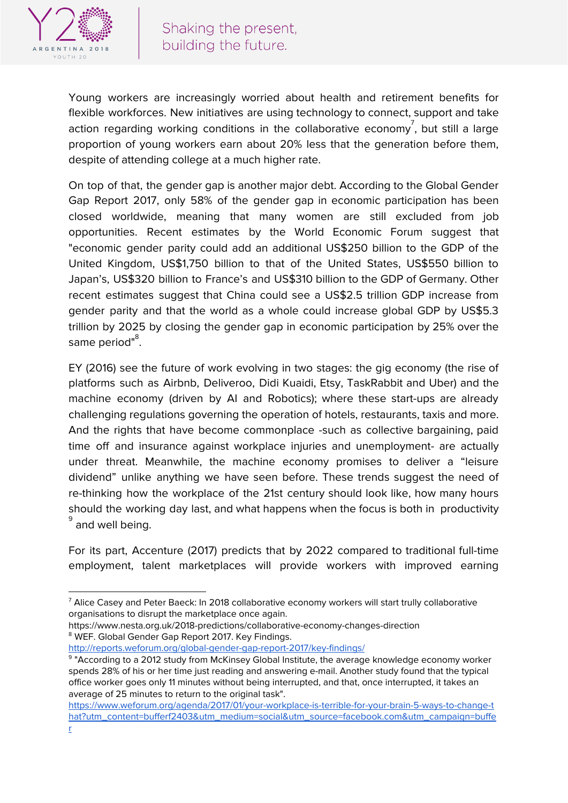

Young workers are increasingly worried about health and retirement benefits for flexible workforces. New initiatives are using technology to connect, support and take action regarding working conditions in the collaborative economy $^7$ , but still a large proportion of young workers earn about 20% less that the generation before them, despite of attending college at a much higher rate.

On top of that, the gender gap is another major debt. According to the Global Gender Gap Report 2017, only 58% of the gender gap in economic participation has been closed worldwide, meaning that many women are still excluded from job opportunities. Recent estimates by the World Economic Forum suggest that "economic gender parity could add an additional US\$250 billion to the GDP of the United Kingdom, US\$1,750 billion to that of the United States, US\$550 billion to Japan's, US\$320 billion to France's and US\$310 billion to the GDP of Germany. Other recent estimates suggest that China could see a US\$2.5 trillion GDP increase from gender parity and that the world as a whole could increase global GDP by US\$5.3 trillion by 2025 by closing the gender gap in economic participation by 25% over the same period"<sup>8</sup>.

EY (2016) see the future of work evolving in two stages: the gig economy (the rise of platforms such as Airbnb, Deliveroo, Didi Kuaidi, Etsy, TaskRabbit and Uber) and the machine economy (driven by AI and Robotics); where these start-ups are already challenging regulations governing the operation of hotels, restaurants, taxis and more. And the rights that have become commonplace -such as collective bargaining, paid time off and insurance against workplace injuries and unemployment- are actually under threat. Meanwhile, the machine economy promises to deliver a "leisure dividend" unlike anything we have seen before. These trends suggest the need of re-thinking how the workplace of the 21st century should look like, how many hours should the working day last, and what happens when the focus is both in productivity  $^{\circ}$  and well being.

For its part, Accenture (2017) predicts that by 2022 compared to traditional full-time employment, talent marketplaces will provide workers with improved earning

https://www.nesta.org.uk/2018-predictions/collaborative-economy-changes-direction <sup>8</sup> WEF. Global Gender Gap Report 2017. Key Findings.

<http://reports.weforum.org/global-gender-gap-report-2017/key-findings/>

 $7$  Alice Casey and Peter Baeck: In 2018 collaborative economy workers will start trully collaborative organisations to disrupt the marketplace once again.

<sup>&</sup>lt;sup>9</sup> "According to a 2012 study from McKinsey Global Institute, the average knowledge economy worker spends 28% of his or her time just reading and answering e-mail. Another study found that the typical office worker goes only 11 minutes without being interrupted, and that, once interrupted, it takes an average of 25 minutes to return to the original task".

[https://www.weforum.org/agenda/2017/01/your-workplace-is-terrible-for-your-brain-5-ways-to-change-t](https://www.weforum.org/agenda/2017/01/your-workplace-is-terrible-for-your-brain-5-ways-to-change-that?utm_content=bufferf2403&utm_medium=social&utm_source=facebook.com&utm_campaign=buffer) [hat?utm\\_content=bufferf2403&utm\\_medium=social&utm\\_source=facebook.com&utm\\_campaign=buffe](https://www.weforum.org/agenda/2017/01/your-workplace-is-terrible-for-your-brain-5-ways-to-change-that?utm_content=bufferf2403&utm_medium=social&utm_source=facebook.com&utm_campaign=buffer) [r](https://www.weforum.org/agenda/2017/01/your-workplace-is-terrible-for-your-brain-5-ways-to-change-that?utm_content=bufferf2403&utm_medium=social&utm_source=facebook.com&utm_campaign=buffer)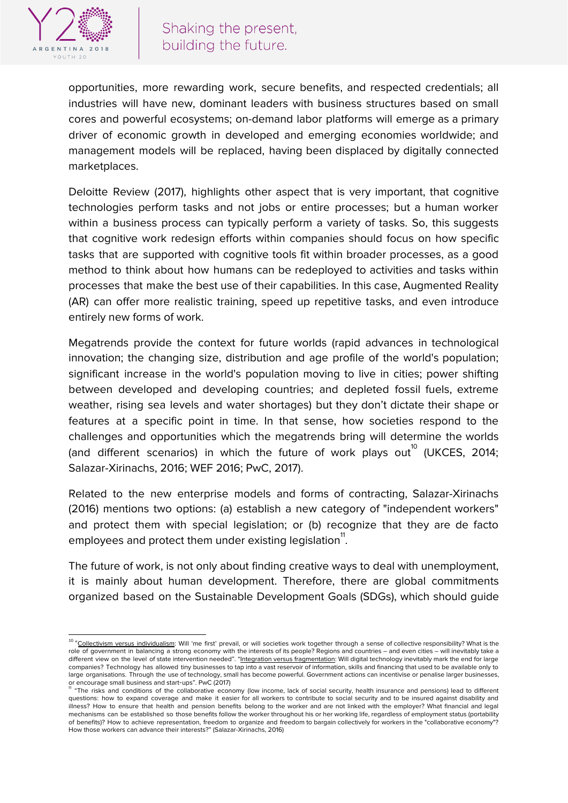

opportunities, more rewarding work, secure benefits, and respected credentials; all industries will have new, dominant leaders with business structures based on small cores and powerful ecosystems; on-demand labor platforms will emerge as a primary driver of economic growth in developed and emerging economies worldwide; and management models will be replaced, having been displaced by digitally connected marketplaces.

Deloitte Review (2017), highlights other aspect that is very important, that cognitive technologies perform tasks and not jobs or entire processes; but a human worker within a business process can typically perform a variety of tasks. So, this suggests that cognitive work redesign efforts within companies should focus on how specific tasks that are supported with cognitive tools fit within broader processes, as a good method to think about how humans can be redeployed to activities and tasks within processes that make the best use of their capabilities. In this case, Augmented Reality (AR) can offer more realistic training, speed up repetitive tasks, and even introduce entirely new forms of work.

Megatrends provide the context for future worlds (rapid advances in technological innovation; the changing size, distribution and age profile of the world's population; significant increase in the world's population moving to live in cities; power shifting between developed and developing countries; and depleted fossil fuels, extreme weather, rising sea levels and water shortages) but they don't dictate their shape or features at a specific point in time. In that sense, how societies respond to the challenges and opportunities which the megatrends bring will determine the worlds (and different scenarios) in which the future of work plays out $^{10}$  (UKCES, 2014; Salazar-Xirinachs, 2016; WEF 2016; PwC, 2017).

Related to the new enterprise models and forms of contracting, Salazar-Xirinachs (2016) mentions two options: (a) establish a new category of "independent workers" and protect them with special legislation; or (b) recognize that they are de facto employees and protect them under existing legislation".

The future of work, is not only about finding creative ways to deal with unemployment, it is mainly about human development. Therefore, there are global commitments organized based on the Sustainable Development Goals (SDGs), which should guide

<sup>10</sup> "Collectivism versus individualism: Will 'me first' prevail, or will societies work together through a sense of collective responsibility? What is the role of government in balancing a strong economy with the interests of its people? Regions and countries – and even cities – will inevitably take a different view on the level of state intervention needed". "Integration versus fragmentation: Will digital technology inevitably mark the end for large companies? Technology has allowed tiny businesses to tap into a vast reservoir of information, skills and financing that used to be available only to large organisations. Through the use of technology, small has become powerful. Government actions can incentivise or penalise larger businesses,

or encourage small business and start-ups". PwC (2017)<br><sup>"</sup> "The risks and conditions of the collaborative economy (low income, lack of social security, health insurance and pensions) lead to different questions: how to expand coverage and make it easier for all workers to contribute to social security and to be insured against disability and illness? How to ensure that health and pension benefits belong to the worker and are not linked with the employer? What financial and legal mechanisms can be established so those benefits follow the worker throughout his or her working life, regardless of employment status (portability of benefits)? How to achieve representation, freedom to organize and freedom to bargain collectively for workers in the "collaborative economy"? How those workers can advance their interests?" (Salazar-Xirinachs, 2016)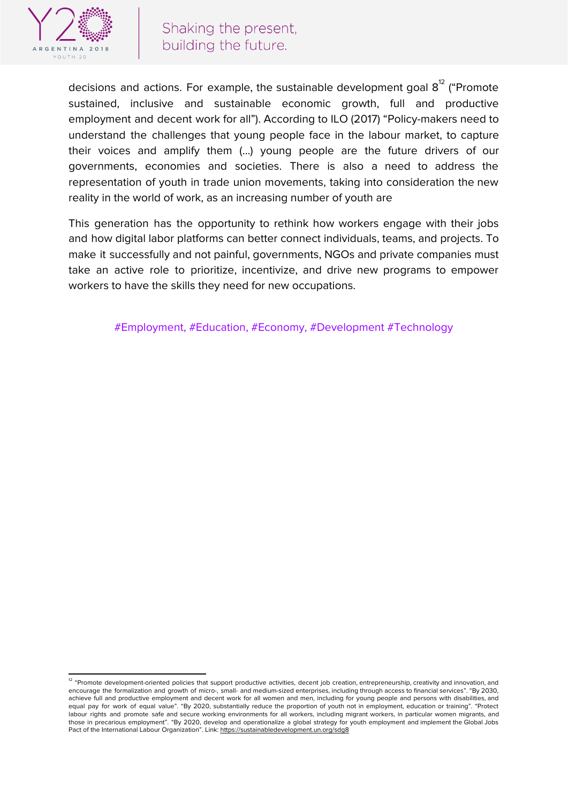

decisions and actions. For example, the sustainable development goal  $8^{12}$  ("Promote sustained, inclusive and sustainable economic growth, full and productive employment and decent work for all"). According to ILO (2017) "Policy-makers need to understand the challenges that young people face in the labour market, to capture their voices and amplify them (…) young people are the future drivers of our governments, economies and societies. There is also a need to address the representation of youth in trade union movements, taking into consideration the new reality in the world of work, as an increasing number of youth are

This generation has the opportunity to rethink how workers engage with their jobs and how digital labor platforms can better connect individuals, teams, and projects. To make it successfully and not painful, governments, NGOs and private companies must take an active role to prioritize, incentivize, and drive new programs to empower workers to have the skills they need for new occupations.

#Employment, #Education, #Economy, #Development #Technology

<sup>&</sup>lt;sup>12</sup> "Promote development-oriented policies that support productive activities, decent job creation, entrepreneurship, creativity and innovation, and encourage the formalization and growth of micro-, small- and medium-sized enterprises, including through access to financial services". "By 2030, achieve full and productive employment and decent work for all women and men, including for young people and persons with disabilities, and equal pay for work of equal value". "By 2020, substantially reduce the proportion of youth not in employment, education or training". "Protect labour rights and promote safe and secure working environments for all workers, including migrant workers, in particular women migrants, and those in precarious employment". "By 2020, develop and operationalize a global strategy for youth employment and implement the Global Jobs Pact of the International Labour Organization". Link: <https://sustainabledevelopment.un.org/sdg8>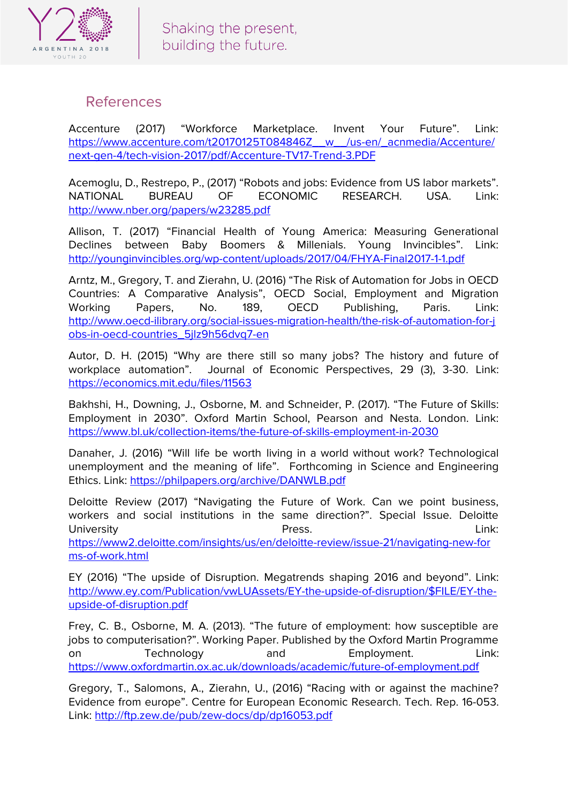

### References

Accenture (2017) "Workforce Marketplace. Invent Your Future". Link: [https://www.accenture.com/t20170125T084846Z\\_\\_w\\_\\_/us-en/\\_acnmedia/Accenture/](https://www.accenture.com/t20170125T084846Z__w__/us-en/_acnmedia/Accenture/next-gen-4/tech-vision-2017/pdf/Accenture-TV17-Trend-3.PDF) [next-gen-4/tech-vision-2017/pdf/Accenture-TV17-Trend-3.PDF](https://www.accenture.com/t20170125T084846Z__w__/us-en/_acnmedia/Accenture/next-gen-4/tech-vision-2017/pdf/Accenture-TV17-Trend-3.PDF)

Acemoglu, D., Restrepo, P., (2017) "Robots and jobs: Evidence from US labor markets". NATIONAL BUREAU OF ECONOMIC RESEARCH. USA. Link: <http://www.nber.org/papers/w23285.pdf>

Allison, T. (2017) "Financial Health of Young America: Measuring Generational Declines between Baby Boomers & Millenials. Young Invincibles". Link: <http://younginvincibles.org/wp-content/uploads/2017/04/FHYA-Final2017-1-1.pdf>

Arntz, M., Gregory, T. and Zierahn, U. (2016) "The Risk of Automation for Jobs in OECD Countries: A Comparative Analysis", OECD Social, Employment and Migration Working Papers, No. 189, OECD Publishing, Paris. Link: [http://www.oecd-ilibrary.org/social-issues-migration-health/the-risk-of-automation-for-j](http://www.oecd-ilibrary.org/social-issues-migration-health/the-risk-of-automation-for-jobs-in-oecd-countries_5jlz9h56dvq7-en) [obs-in-oecd-countries\\_5jlz9h56dvq7-en](http://www.oecd-ilibrary.org/social-issues-migration-health/the-risk-of-automation-for-jobs-in-oecd-countries_5jlz9h56dvq7-en)

Autor, D. H. (2015) "Why are there still so many jobs? The history and future of workplace automation". Journal of Economic Perspectives, 29 (3), 3-30. Link: <https://economics.mit.edu/files/11563>

Bakhshi, H., Downing, J., Osborne, M. and Schneider, P. (2017). "The Future of Skills: Employment in 2030". Oxford Martin School, Pearson and Nesta. London. Link: <https://www.bl.uk/collection-items/the-future-of-skills-employment-in-2030>

Danaher, J. (2016) "Will life be worth living in a world without work? Technological unemployment and the meaning of life". Forthcoming in Science and Engineering Ethics. Link: <https://philpapers.org/archive/DANWLB.pdf>

Deloitte Review (2017) "Navigating the Future of Work. Can we point business, workers and social institutions in the same direction?". Special Issue. Deloitte University Press. Link: [https://www2.deloitte.com/insights/us/en/deloitte-review/issue-21/navigating-new-for](https://www2.deloitte.com/insights/us/en/deloitte-review/issue-21/navigating-new-forms-of-work.html) [ms-of-work.html](https://www2.deloitte.com/insights/us/en/deloitte-review/issue-21/navigating-new-forms-of-work.html)

EY (2016) "The upside of Disruption. Megatrends shaping 2016 and beyond". Link: [http://www.ey.com/Publication/vwLUAssets/EY-the-upside-of-disruption/\\$FILE/EY-the](http://www.ey.com/Publication/vwLUAssets/EY-the-upside-of-disruption/$FILE/EY-the-upside-of-disruption.pdf)[upside-of-disruption.pdf](http://www.ey.com/Publication/vwLUAssets/EY-the-upside-of-disruption/$FILE/EY-the-upside-of-disruption.pdf)

Frey, C. B., Osborne, M. A. (2013). "The future of employment: how susceptible are jobs to computerisation?". Working Paper. Published by the Oxford Martin Programme on Technology and Employment. Link: <https://www.oxfordmartin.ox.ac.uk/downloads/academic/future-of-employment.pdf>

Gregory, T., Salomons, A., Zierahn, U., (2016) "Racing with or against the machine? Evidence from europe". Centre for European Economic Research. Tech. Rep. 16-053. Link: <http://ftp.zew.de/pub/zew-docs/dp/dp16053.pdf>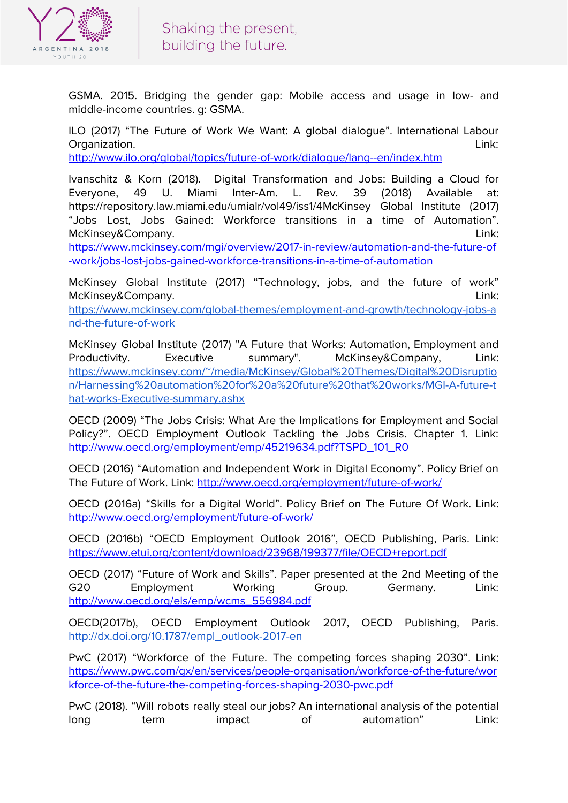

GSMA. 2015. Bridging the gender gap: Mobile access and usage in low- and middle-income countries. g: GSMA.

ILO (2017) "The Future of Work We Want: A global dialogue". International Labour Organization. Link:

<http://www.ilo.org/global/topics/future-of-work/dialogue/lang--en/index.htm>

Ivanschitz & Korn (2018). Digital Transformation and Jobs: Building a Cloud for Everyone, 49 U. Miami Inter-Am. L. Rev. 39 (2018) Available at: https://repository.law.miami.edu/umialr/vol49/iss1/4McKinsey Global Institute (2017) "Jobs Lost, Jobs Gained: Workforce transitions in a time of Automation". McKinsey&Company. Link:

[https://www.mckinsey.com/mgi/overview/2017-in-review/automation-and-the-future-of](https://www.mckinsey.com/mgi/overview/2017-in-review/automation-and-the-future-of-work/jobs-lost-jobs-gained-workforce-transitions-in-a-time-of-automation) [-work/jobs-lost-jobs-gained-workforce-transitions-in-a-time-of-automation](https://www.mckinsey.com/mgi/overview/2017-in-review/automation-and-the-future-of-work/jobs-lost-jobs-gained-workforce-transitions-in-a-time-of-automation)

McKinsey Global Institute (2017) "Technology, jobs, and the future of work" McKinsey&Company. Link:

[https://www.mckinsey.com/global-themes/employment-and-growth/technology-jobs-a](https://www.mckinsey.com/global-themes/employment-and-growth/technology-jobs-and-the-future-of-work) [nd-the-future-of-work](https://www.mckinsey.com/global-themes/employment-and-growth/technology-jobs-and-the-future-of-work)

McKinsey Global Institute (2017) "A Future that Works: Automation, Employment and Productivity. Executive summary". McKinsey&Company, Link: [https://www.mckinsey.com/~/media/McKinsey/Global%20Themes/Digital%20Disruptio](https://www.mckinsey.com/~/media/McKinsey/Global%20Themes/Digital%20Disruption/Harnessing%20automation%20for%20a%20future%20that%20works/MGI-A-future-that-works-Executive-summary.ashx) [n/Harnessing%20automation%20for%20a%20future%20that%20works/MGI-A-future-t](https://www.mckinsey.com/~/media/McKinsey/Global%20Themes/Digital%20Disruption/Harnessing%20automation%20for%20a%20future%20that%20works/MGI-A-future-that-works-Executive-summary.ashx) [hat-works-Executive-summary.ashx](https://www.mckinsey.com/~/media/McKinsey/Global%20Themes/Digital%20Disruption/Harnessing%20automation%20for%20a%20future%20that%20works/MGI-A-future-that-works-Executive-summary.ashx)

OECD (2009) "The Jobs Crisis: What Are the Implications for Employment and Social Policy?". OECD Employment Outlook Tackling the Jobs Crisis. Chapter 1. Link: [http://www.oecd.org/employment/emp/45219634.pdf?TSPD\\_101\\_R0](http://www.oecd.org/employment/emp/45219634.pdf?TSPD_101_R0)

OECD (2016) "Automation and Independent Work in Digital Economy". Policy Brief on The Future of Work. Link: <http://www.oecd.org/employment/future-of-work/>

OECD (2016a) "Skills for a Digital World". Policy Brief on The Future Of Work. Link: <http://www.oecd.org/employment/future-of-work/>

OECD (2016b) "OECD Employment Outlook 2016", OECD Publishing, Paris. Link: <https://www.etui.org/content/download/23968/199377/file/OECD+report.pdf>

OECD (2017) "Future of Work and Skills". Paper presented at the 2nd Meeting of the G20 Employment Working Group. Germany. Link: [http://www.oecd.org/els/emp/wcms\\_556984.pdf](http://www.oecd.org/els/emp/wcms_556984.pdf)

OECD(2017b), OECD Employment Outlook 2017, OECD Publishing, Paris. [http://dx.doi.org/10.1787/empl\\_outlook-2017-en](http://dx.doi.org/10.1787/empl_outlook-2017-en)

PwC (2017) "Workforce of the Future. The competing forces shaping 2030". Link: [https://www.pwc.com/gx/en/services/people-organisation/workforce-of-the-future/wor](https://www.pwc.com/gx/en/services/people-organisation/workforce-of-the-future/workforce-of-the-future-the-competing-forces-shaping-2030-pwc.pdf) [kforce-of-the-future-the-competing-forces-shaping-2030-pwc.pdf](https://www.pwc.com/gx/en/services/people-organisation/workforce-of-the-future/workforce-of-the-future-the-competing-forces-shaping-2030-pwc.pdf)

PwC (2018). "Will robots really steal our jobs? An international analysis of the potential long term impact of automation" Link: